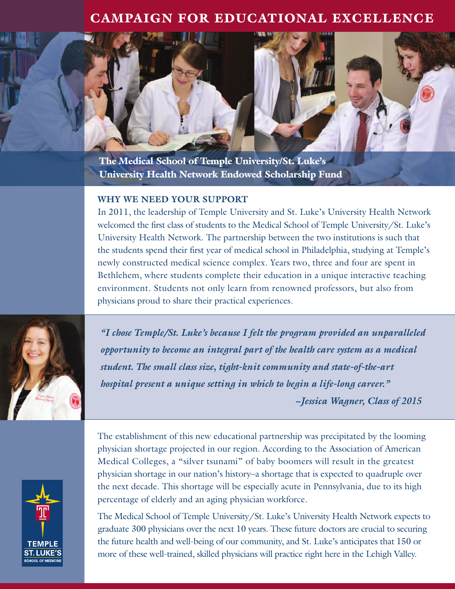## **CAMPAIGN FOR EDUCATIONAL EXCELLENCE**



## **WHY WE NEED YOUR SUPPORT**

In 2011, the leadership of Temple University and St. Luke's University Health Network welcomed the first class of students to the Medical School of Temple University/St. Luke's University Health Network. The partnership between the two institutions is such that the students spend their first year of medical school in Philadelphia, studying at Temple's newly constructed medical science complex. Years two, three and four are spent in Bethlehem, where students complete their education in a unique interactive teaching environment. Students not only learn from renowned professors, but also from physicians proud to share their practical experiences.



*"I chose Temple/St. Luke's because I felt the program provided an unparalleled opportunity to become an integral part of the health care system as a medical student. The small class size, tight-knit community and state-of-the-art hospital present a unique setting in which to begin a life-long career."*

*~Jessica Wagner, Class of 2015*



The establishment of this new educational partnership was precipitated by the looming physician shortage projected in our region. According to the Association of American Medical Colleges, a "silver tsunami" of baby boomers will result in the greatest physician shortage in our nation's history–a shortage that is expected to quadruple over the next decade. This shortage will be especially acute in Pennsylvania, due to its high percentage of elderly and an aging physician workforce.

The Medical School of Temple University/St. Luke's University Health Network expects to graduate 300 physicians over the next 10 years. These future doctors are crucial to securing the future health and well-being of our community, and St. Luke's anticipates that 150 or more of these well-trained, skilled physicians will practice right here in the Lehigh Valley.